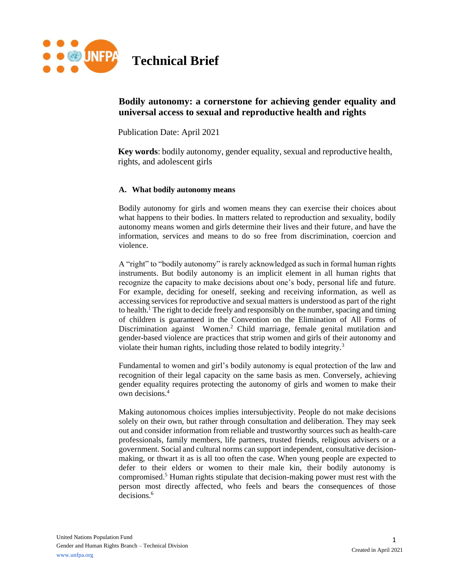

# **Bodily autonomy: a cornerstone for achieving gender equality and universal access to sexual and reproductive health and rights**

Publication Date: April 2021

**Key words**: bodily autonomy, gender equality, sexual and reproductive health, rights, and adolescent girls

#### **A. What bodily autonomy means**

Bodily autonomy for girls and women means they can exercise their choices about what happens to their bodies. In matters related to reproduction and sexuality, bodily autonomy means women and girls determine their lives and their future, and have the information, services and means to do so free from discrimination, coercion and violence.

A "right" to "bodily autonomy" is rarely acknowledged as such in formal human rights instruments. But bodily autonomy is an implicit element in all human rights that recognize the capacity to make decisions about one's body, personal life and future. For example, deciding for oneself, seeking and receiving information, as well as accessing services for reproductive and sexual matters is understood as part of the right to health.<sup>1</sup> The right to decide freely and responsibly on the number, spacing and timing of children is guaranteed in the Convention on the Elimination of All Forms of Discrimination against Women.<sup>2</sup> Child marriage, female genital mutilation and gender-based violence are practices that strip women and girls of their autonomy and violate their human rights, including those related to bodily integrity.<sup>3</sup>

Fundamental to women and girl's bodily autonomy is equal protection of the law and recognition of their legal capacity on the same basis as men. Conversely, achieving gender equality requires protecting the autonomy of girls and women to make their own decisions.<sup>4</sup>

Making autonomous choices implies intersubjectivity. People do not make decisions solely on their own, but rather through consultation and deliberation. They may seek out and consider information from reliable and trustworthy sources such as health-care professionals, family members, life partners, trusted friends, religious advisers or a government. Social and cultural norms can support independent, consultative decisionmaking, or thwart it as is all too often the case. When young people are expected to defer to their elders or women to their male kin, their bodily autonomy is compromised.<sup>5</sup> Human rights stipulate that decision-making power must rest with the person most directly affected, who feels and bears the consequences of those decisions.<sup>6</sup>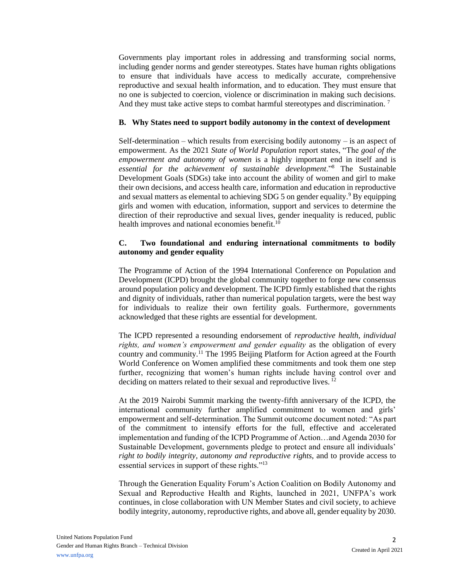Governments play important roles in addressing and transforming social norms, including gender norms and gender stereotypes. States have human rights obligations to ensure that individuals have access to medically accurate, comprehensive reproductive and sexual health information, and to education. They must ensure that no one is subjected to coercion, violence or discrimination in making such decisions. And they must take active steps to combat harmful stereotypes and discrimination.<sup>7</sup>

### **B. Why States need to support bodily autonomy in the context of development**

Self-determination – which results from exercising bodily autonomy – is an aspect of empowerment. As the 2021 *State of World Population* report states, "The *goal of the empowerment and autonomy of women* is a highly important end in itself and is *essential for the achievement of sustainable development*."<sup>8</sup> The Sustainable Development Goals (SDGs) take into account the ability of women and girl to make their own decisions, and access health care, information and education in reproductive and sexual matters as elemental to achieving SDG 5 on gender equality.<sup>9</sup> By equipping girls and women with education, information, support and services to determine the direction of their reproductive and sexual lives, gender inequality is reduced, public health improves and national economies benefit.<sup>10</sup>

## **C. Two foundational and enduring international commitments to bodily autonomy and gender equality**

The Programme of Action of the 1994 International Conference on Population and Development (ICPD) brought the global community together to forge new consensus around population policy and development. The ICPD firmly established that the rights and dignity of individuals, rather than numerical population targets, were the best way for individuals to realize their own fertility goals. Furthermore, governments acknowledged that these rights are essential for development.

The ICPD represented a resounding endorsement of *reproductive health, individual rights, and women's empowerment and gender equality* as the obligation of every country and community.<sup>11</sup> The 1995 Beijing Platform for Action agreed at the Fourth World Conference on Women amplified these commitments and took them one step further, recognizing that women's human rights include having control over and deciding on matters related to their sexual and reproductive lives.<sup>12</sup>

At the 2019 Nairobi Summit marking the twenty-fifth anniversary of the ICPD, the international community further amplified commitment to women and girls' empowerment and self-determination. The Summit outcome document noted: "As part of the commitment to intensify efforts for the full, effective and accelerated implementation and funding of the ICPD Programme of Action…and Agenda 2030 for Sustainable Development, governments pledge to protect and ensure all individuals' *right to bodily integrity, autonomy and reproductive rights*, and to provide access to essential services in support of these rights."<sup>13</sup>

Through the Generation Equality Forum's Action Coalition on Bodily Autonomy and Sexual and Reproductive Health and Rights, launched in 2021, UNFPA's work continues, in close collaboration with UN Member States and civil society, to achieve bodily integrity, autonomy, reproductive rights, and above all, gender equality by 2030.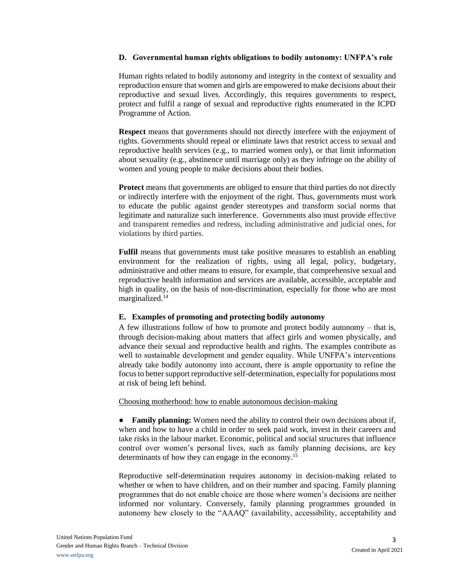#### **D. Governmental human rights obligations to bodily autonomy: UNFPA's role**

Human rights related to bodily autonomy and integrity in the context of sexuality and reproduction ensure that women and girls are empowered to make decisions about their reproductive and sexual lives. Accordingly, this requires governments to respect, protect and fulfil a range of sexual and reproductive rights enumerated in the ICPD Programme of Action.

**Respect** means that governments should not directly interfere with the enjoyment of rights. Governments should repeal or eliminate laws that restrict access to sexual and reproductive health services (e.g., to married women only), or that limit information about sexuality (e.g., abstinence until marriage only) as they infringe on the ability of women and young people to make decisions about their bodies.

**Protect** means that governments are obliged to ensure that third parties do not directly or indirectly interfere with the enjoyment of the right. Thus, governments must work to educate the public against gender stereotypes and transform social norms that legitimate and naturalize such interference. Governments also must provide effective and transparent remedies and redress, including administrative and judicial ones, for violations by third parties.

**Fulfil** means that governments must take positive measures to establish an enabling environment for the realization of rights, using all legal, policy, budgetary, administrative and other means to ensure, for example, that comprehensive sexual and reproductive health information and services are available, accessible, acceptable and high in quality, on the basis of non-discrimination, especially for those who are most marginalized.<sup>14</sup>

#### **E. Examples of promoting and protecting bodily autonomy**

A few illustrations follow of how to promote and protect bodily autonomy – that is, through decision-making about matters that affect girls and women physically, and advance their sexual and reproductive health and rights. The examples contribute as well to sustainable development and gender equality. While UNFPA's interventions already take bodily autonomy into account, there is ample opportunity to refine the focus to better support reproductive self-determination, especially for populations most at risk of being left behind.

#### Choosing motherhood: how to enable autonomous decision-making

**● Family planning:** Women need the ability to control their own decisions about if, when and how to have a child in order to seek paid work, invest in their careers and take risks in the labour market. Economic, political and social structures that influence control over women's personal lives, such as family planning decisions, are key determinants of how they can engage in the economy.<sup>15</sup>

Reproductive self-determination requires autonomy in decision-making related to whether or when to have children, and on their number and spacing. Family planning programmes that do not enable choice are those where women's decisions are neither informed nor voluntary. Conversely, family planning programmes grounded in autonomy hew closely to the "AAAQ" (availability, accessibility, acceptability and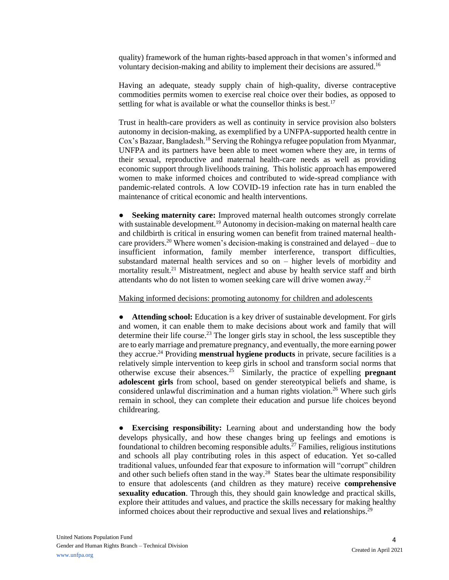quality) framework of the human rights-based approach in that women's informed and voluntary decision-making and ability to implement their decisions are assured.<sup>16</sup>

Having an adequate, steady supply chain of high-quality, diverse contraceptive commodities permits women to exercise real choice over their bodies, as opposed to settling for what is available or what the counsellor thinks is best.<sup>17</sup>

Trust in health-care providers as well as continuity in service provision also bolsters autonomy in decision-making, as exemplified by a UNFPA-supported health centre in Cox's Bazaar, Bangladesh.<sup>18</sup> Serving the Rohingya refugee population from Myanmar, UNFPA and its partners have been able to meet women where they are, in terms of their sexual, reproductive and maternal health-care needs as well as providing economic support through livelihoods training. This holistic approach has empowered women to make informed choices and contributed to wide-spread compliance with pandemic-related controls. A low COVID-19 infection rate has in turn enabled the maintenance of critical economic and health interventions.

**Seeking maternity care:** Improved maternal health outcomes strongly correlate with sustainable development.<sup>19</sup> Autonomy in decision-making on maternal health care and childbirth is critical in ensuring women can benefit from trained maternal healthcare providers.<sup>20</sup> Where women's decision-making is constrained and delayed – due to insufficient information, family member interference, transport difficulties, substandard maternal health services and so on – higher levels of morbidity and mortality result.<sup>21</sup> Mistreatment, neglect and abuse by health service staff and birth attendants who do not listen to women seeking care will drive women away.<sup>22</sup>

### Making informed decisions: promoting autonomy for children and adolescents

**● Attending school:** Education is a key driver of sustainable development. For girls and women, it can enable them to make decisions about work and family that will determine their life course.<sup>23</sup> The longer girls stay in school, the less susceptible they are to early marriage and premature pregnancy, and eventually, the more earning power they accrue.<sup>24</sup> Providing **menstrual hygiene products** in private, secure facilities is a relatively simple intervention to keep girls in school and transform social norms that otherwise excuse their absences.<sup>25</sup> Similarly, the practice of expelling **pregnant adolescent girls** from school, based on gender stereotypical beliefs and shame, is considered unlawful discrimination and a human rights violation.<sup>26</sup> Where such girls remain in school, they can complete their education and pursue life choices beyond childrearing.

**● Exercising responsibility:** Learning about and understanding how the body develops physically, and how these changes bring up feelings and emotions is foundational to children becoming responsible adults.<sup>27</sup> Families, religious institutions and schools all play contributing roles in this aspect of education. Yet so-called traditional values, unfounded fear that exposure to information will "corrupt" children and other such beliefs often stand in the way.<sup>28</sup> States bear the ultimate responsibility to ensure that adolescents (and children as they mature) receive **comprehensive sexuality education**. Through this, they should gain knowledge and practical skills, explore their attitudes and values, and practice the skills necessary for making healthy informed choices about their reproductive and sexual lives and **r**elationships.<sup>29</sup>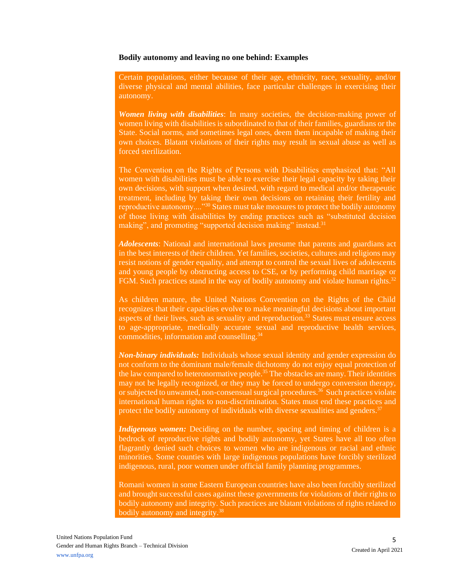#### **Bodily autonomy and leaving no one behind: Examples**

Certain populations, either because of their age, ethnicity, race, sexuality, and/or diverse physical and mental abilities, face particular challenges in exercising their autonomy.

*Women living with disabilities*: In many societies, the decision-making power of women living with disabilities is subordinated to that of their families, guardians or the State. Social norms, and sometimes legal ones, deem them incapable of making their own choices. Blatant violations of their rights may result in sexual abuse as well as forced sterilization.

The Convention on the Rights of Persons with Disabilities emphasized that: "All women with disabilities must be able to exercise their legal capacity by taking their own decisions, with support when desired, with regard to medical and/or therapeutic treatment, including by taking their own decisions on retaining their fertility and reproductive autonomy...."<sup>30</sup> States must take measures to protect the bodily autonomy of those living with disabilities by ending practices such as "substituted decision making", and promoting "supported decision making" instead.<sup>31</sup>

*Adolescents*: National and international laws presume that parents and guardians act in the best interests of their children. Yet families, societies, cultures and religions may resist notions of gender equality, and attempt to control the sexual lives of adolescents and young people by obstructing access to CSE, or by performing child marriage or FGM. Such practices stand in the way of bodily autonomy and violate human rights.<sup>32</sup>

As children mature, the United Nations Convention on the Rights of the Child recognizes that their capacities evolve to make meaningful decisions about important aspects of their lives, such as sexuality and reproduction.<sup>33</sup> States must ensure access to age-appropriate, medically accurate sexual and reproductive health services, commodities, information and counselling.<sup>34</sup>

*Non-binary individuals:* Individuals whose sexual identity and gender expression do not conform to the dominant male/female dichotomy do not enjoy equal protection of the law compared to heteronormative people.<sup>35</sup> The obstacles are many. Their identities may not be legally recognized, or they may be forced to undergo conversion therapy, or subjected to unwanted, non-consensual surgical procedures.<sup>36</sup> Such practices violate international human rights to non-discrimination. States must end these practices and protect the bodily autonomy of individuals with diverse sexualities and genders.<sup>37</sup>

*Indigenous women:* Deciding on the number, spacing and timing of children is a bedrock of reproductive rights and bodily autonomy, yet States have all too often flagrantly denied such choices to women who are indigenous or racial and ethnic minorities. Some counties with large indigenous populations have forcibly sterilized indigenous, rural, poor women under official family planning programmes.

Romani women in some Eastern European countries have also been forcibly sterilized and brought successful cases against these governments for violations of their rights to bodily autonomy and integrity. Such practices are blatant violations of rights related to bodily autonomy and integrity.38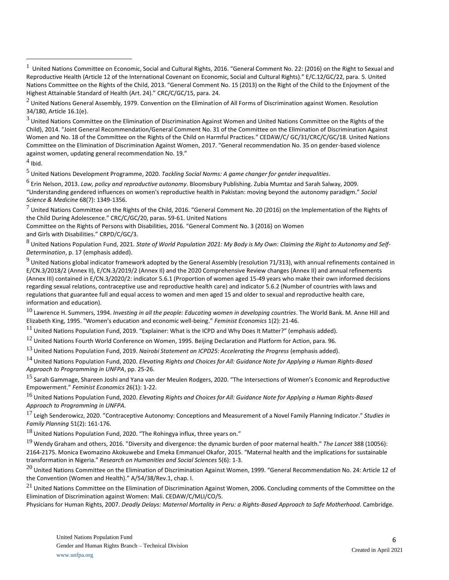$3$  United Nations Committee on the Elimination of Discrimination Against Women and United Nations Committee on the Rights of the Child), 2014. "Joint General Recommendation/General Comment No. 31 of the Committee on the Elimination of Discrimination Against Women and No. 18 of the Committee on the Rights of the Child on Harmful Practices." CEDAW/C/ GC/31/CRC/C/GC/18. United Nations Committee on the Elimination of Discrimination Against Women, 2017. "General recommendation No. 35 on gender-based violence against women, updating general recommendation No. 19."

 $<sup>4</sup>$  Ibid.</sup>

<sup>5</sup> United Nations Development Programme, 2020. *Tackling Social Norms: A game changer for gender inequalities*.

6 Erin Nelson, 2013. *Law, policy and reproductive autonomy*. Bloomsbury Publishing. Zubia Mumtaz and Sarah Salway, 2009. "Understanding gendered influences on women's reproductive health in Pakistan: moving beyond the autonomy paradigm." *Social Science & Medicine* 68(7): 1349-1356.

 $^7$  United Nations Committee on the Rights of the Child, 2016. "General Comment No. 20 (2016) on the Implementation of the Rights of the Child During Adolescence." CRC/C/GC/20, paras. 59-61. United Nations

Committee on the Rights of Persons with Disabilities, 2016. "General Comment No. 3 (2016) on Women and Girls with Disabilities." CRPD/C/GC/3.

<sup>8</sup> United Nations Population Fund, 2021. *State of World Population 2021: My Body is My Own: Claiming the Right to Autonomy and Self-Determination*, p. 17 (emphasis added).

 $9$  United Nations global indicator framework adopted by the General Assembly (resolution 71/313), with annual refinements contained in E/CN.3/2018/2 (Annex II), E/CN.3/2019/2 (Annex II) and the 2020 Comprehensive Review changes (Annex II) and annual refinements (Annex III) contained in E/CN.3/2020/2: indicator 5.6.1 (Proportion of women aged 15-49 years who make their own informed decisions regarding sexual relations, contraceptive use and reproductive health care) and indicator 5.6.2 (Number of countries with laws and regulations that guarantee full and equal access to women and men aged 15 and older to sexual and reproductive health care, information and education).

<sup>10</sup> Lawrence H. Summers, 1994. *Investing in all the people: Educating women in developing countries*. The World Bank. M. Anne Hill and Elizabeth King, 1995. "Women's education and economic well-being." *Feminist Economics* 1(2): 21-46.

 $^{11}$  United Nations Population Fund, 2019. "Explainer: What is the ICPD and Why Does It Matter?" (emphasis added).

 $^{12}$  United Nations Fourth World Conference on Women, 1995. Beijing Declaration and Platform for Action, para. 96.

<sup>13</sup> United Nations Population Fund, 2019. *Nairobi Statement on ICPD25: Accelerating the Progress* (emphasis added).

<sup>14</sup> United Nations Population Fund, 2020. *Elevating Rights and Choices for All: Guidance Note for Applying a Human Rights-Based Approach to Programming in UNFPA*, pp. 25-26.

<sup>15</sup> Sarah Gammage, Shareen Joshi and Yana van der Meulen Rodgers, 2020. "The Intersections of Women's Economic and Reproductive Empowerment." *Feminist Economics* 26(1): 1-22.

<sup>16</sup> United Nations Population Fund, 2020. *Elevating Rights and Choices for All: Guidance Note for Applying a Human Rights-Based Approach to Programming in UNFPA.*

<sup>17</sup> Leigh Senderowicz, 2020. "[Contraceptive Autonomy: Conceptions and Measurement of a Novel Family Planning Indicator](https://scholar.harvard.edu/leigh_senderowicz/publications/contraceptive-autonomy-conceptions-and-measurement-novel-family)." *Studies in Family Planning* 51(2): 161-176.

 $18$  United Nations Population Fund, 2020. "The Rohingya influx, three years on."

<sup>19</sup> Wendy Graham and others, 2016. "Diversity and divergence: the dynamic burden of poor maternal health." *The Lancet* 388 (10056): 2164-2175. Monica Ewomazino Akokuwebe and Emeka Emmanuel Okafor, 2015. "Maternal health and the implications for sustainable transformation in Nigeria." *Research on Humanities and Social Sciences* 5(6): 1-3.

 $^{20}$  United Nations Committee on the Elimination of Discrimination Against Women. 1999. "General Recommendation No. 24: Article 12 of the Convention (Women and Health)." A/54/38/Rev.1, chap. I.

 $21$  United Nations Committee on the Elimination of Discrimination Against Women, 2006. Concluding comments of the Committee on the Elimination of Discrimination against Women: Mali. CEDAW/C/MLI/CO/5.

Physicians for Human Rights, 2007. *Deadly Delays: Maternal Mortality in Peru: a Rights-Based Approach to Safe Motherhood.* Cambridge.

<sup>1</sup> United Nations Committee on Economic, Social and Cultural Rights, 2016. "General Comment No. 22: (2016) on the Right to Sexual and Reproductive Health (Article 12 of the International Covenant on Economic, Social and Cultural Rights)." E/C.12/GC/22, para. 5. United Nations Committee on the Rights of the Child, 2013. "General Comment No. 15 (2013) on the Right of the Child to the Enjoyment of the Highest Attainable Standard of Health (Art. 24)." CRC/C/GC/15, para. 24.

 $^2$  United Nations General Assembly, 1979. Convention on the Elimination of All Forms of Discrimination against Women. Resolution 34/180, Article 16.1(e).